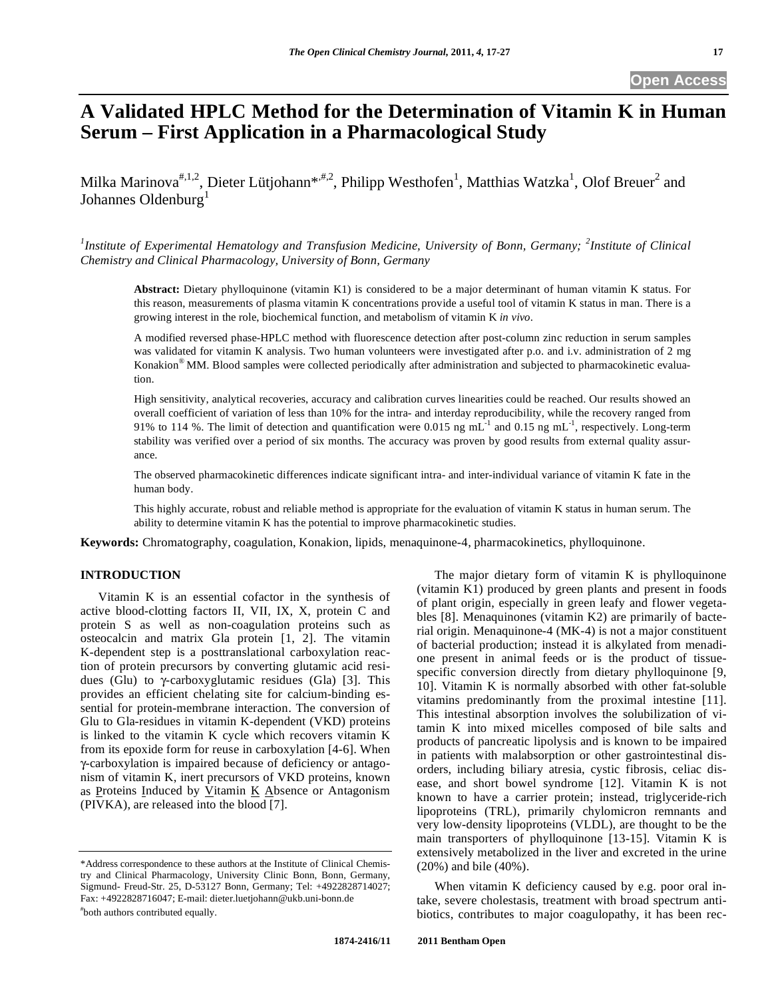# **A Validated HPLC Method for the Determination of Vitamin K in Human Serum – First Application in a Pharmacological Study**

Milka Marinova<sup>#,1,2</sup>, Dieter Lütjohann<sup>\*,#,2</sup>, Philipp Westhofen<sup>1</sup>, Matthias Watzka<sup>1</sup>, Olof Breuer<sup>2</sup> and Johannes Oldenburg<sup>1</sup>

<sup>1</sup>Institute of Experimental Hematology and Transfusion Medicine, University of Bonn, Germany; <sup>2</sup>Institute of Clinical *Chemistry and Clinical Pharmacology, University of Bonn, Germany* 

**Abstract:** Dietary phylloquinone (vitamin K1) is considered to be a major determinant of human vitamin K status. For this reason, measurements of plasma vitamin K concentrations provide a useful tool of vitamin K status in man. There is a growing interest in the role, biochemical function, and metabolism of vitamin K *in vivo*.

A modified reversed phase-HPLC method with fluorescence detection after post-column zinc reduction in serum samples was validated for vitamin K analysis. Two human volunteers were investigated after p.o. and i.v. administration of 2 mg Konakion® MM. Blood samples were collected periodically after administration and subjected to pharmacokinetic evaluation.

High sensitivity, analytical recoveries, accuracy and calibration curves linearities could be reached. Our results showed an overall coefficient of variation of less than 10% for the intra- and interday reproducibility, while the recovery ranged from 91% to 114 %. The limit of detection and quantification were 0.015 ng  $mL^{-1}$  and 0.15 ng  $mL^{-1}$ , respectively. Long-term stability was verified over a period of six months. The accuracy was proven by good results from external quality assurance.

The observed pharmacokinetic differences indicate significant intra- and inter-individual variance of vitamin K fate in the human body.

This highly accurate, robust and reliable method is appropriate for the evaluation of vitamin K status in human serum. The ability to determine vitamin K has the potential to improve pharmacokinetic studies.

**Keywords:** Chromatography, coagulation, Konakion, lipids, menaquinone-4, pharmacokinetics, phylloquinone.

# **INTRODUCTION**

 Vitamin K is an essential cofactor in the synthesis of active blood-clotting factors II, VII, IX, X, protein C and protein S as well as non-coagulation proteins such as osteocalcin and matrix Gla protein [1, 2]. The vitamin K-dependent step is a posttranslational carboxylation reaction of protein precursors by converting glutamic acid residues (Glu) to  $\gamma$ -carboxyglutamic residues (Gla) [3]. This provides an efficient chelating site for calcium-binding essential for protein-membrane interaction. The conversion of Glu to Gla-residues in vitamin K-dependent (VKD) proteins is linked to the vitamin K cycle which recovers vitamin K from its epoxide form for reuse in carboxylation [4-6]. When -carboxylation is impaired because of deficiency or antagonism of vitamin K, inert precursors of VKD proteins, known as Proteins Induced by Vitamin  $K$  Absence or Antagonism (PIVKA), are released into the blood [7].

The major dietary form of vitamin  $K$  is phylloquinone (vitamin K1) produced by green plants and present in foods of plant origin, especially in green leafy and flower vegetables [8]. Menaquinones (vitamin K2) are primarily of bacterial origin. Menaquinone-4 (MK-4) is not a major constituent of bacterial production; instead it is alkylated from menadione present in animal feeds or is the product of tissuespecific conversion directly from dietary phylloquinone [9, 10]. Vitamin K is normally absorbed with other fat-soluble vitamins predominantly from the proximal intestine [11]. This intestinal absorption involves the solubilization of vitamin K into mixed micelles composed of bile salts and products of pancreatic lipolysis and is known to be impaired in patients with malabsorption or other gastrointestinal disorders, including biliary atresia, cystic fibrosis, celiac disease, and short bowel syndrome [12]. Vitamin K is not known to have a carrier protein; instead, triglyceride-rich lipoproteins (TRL), primarily chylomicron remnants and very low-density lipoproteins (VLDL), are thought to be the main transporters of phylloquinone [13-15]. Vitamin K is extensively metabolized in the liver and excreted in the urine (20%) and bile (40%).

 When vitamin K deficiency caused by e.g. poor oral intake, severe cholestasis, treatment with broad spectrum antibiotics, contributes to major coagulopathy, it has been rec-

#### **1874-2416/11 2011 Bentham Open**

<sup>\*</sup>Address correspondence to these authors at the Institute of Clinical Chemistry and Clinical Pharmacology, University Clinic Bonn, Bonn, Germany, Sigmund- Freud-Str. 25, D-53127 Bonn, Germany; Tel: +4922828714027; Fax: +4922828716047; E-mail: dieter.luetjohann@ukb.uni-bonn.de # both authors contributed equally.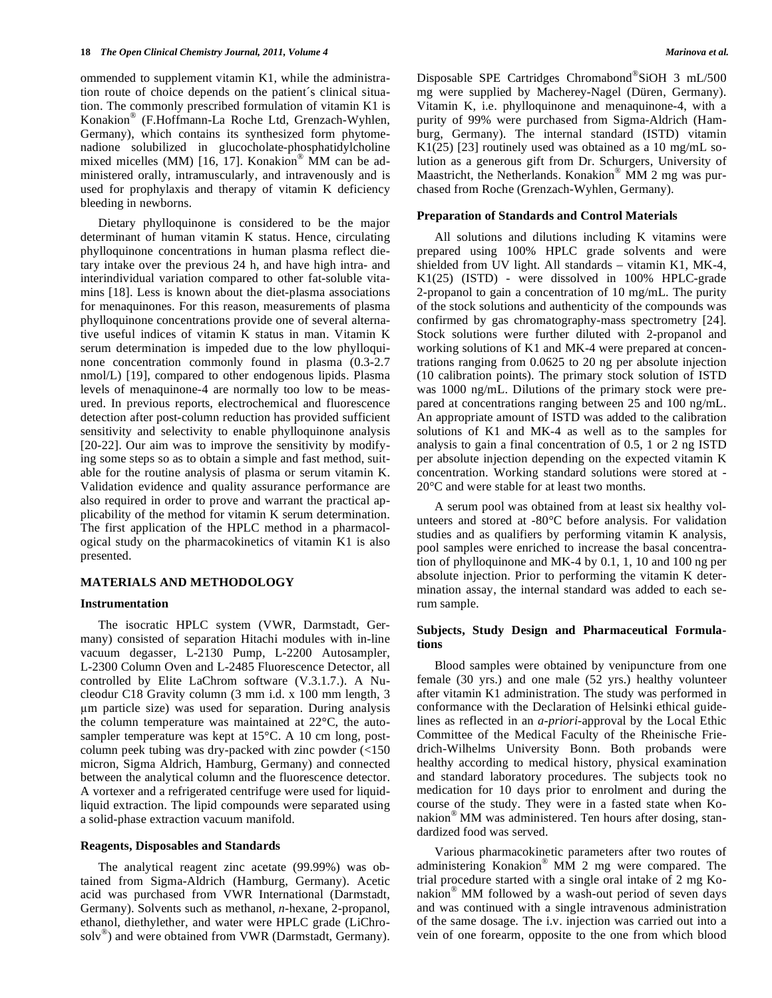ommended to supplement vitamin K1, while the administration route of choice depends on the patient´s clinical situation. The commonly prescribed formulation of vitamin K1 is Konakion® (F.Hoffmann-La Roche Ltd, Grenzach-Wyhlen, Germany), which contains its synthesized form phytomenadione solubilized in glucocholate-phosphatidylcholine mixed micelles (MM) [16, 17]. Konakion® MM can be administered orally, intramuscularly, and intravenously and is used for prophylaxis and therapy of vitamin K deficiency bleeding in newborns.

 Dietary phylloquinone is considered to be the major determinant of human vitamin K status. Hence, circulating phylloquinone concentrations in human plasma reflect dietary intake over the previous 24 h, and have high intra- and interindividual variation compared to other fat-soluble vitamins [18]. Less is known about the diet-plasma associations for menaquinones. For this reason, measurements of plasma phylloquinone concentrations provide one of several alternative useful indices of vitamin K status in man. Vitamin K serum determination is impeded due to the low phylloquinone concentration commonly found in plasma (0.3-2.7 nmol/L) [19], compared to other endogenous lipids. Plasma levels of menaquinone-4 are normally too low to be measured. In previous reports, electrochemical and fluorescence detection after post-column reduction has provided sufficient sensitivity and selectivity to enable phylloquinone analysis [20-22]. Our aim was to improve the sensitivity by modifying some steps so as to obtain a simple and fast method, suitable for the routine analysis of plasma or serum vitamin K. Validation evidence and quality assurance performance are also required in order to prove and warrant the practical applicability of the method for vitamin K serum determination. The first application of the HPLC method in a pharmacological study on the pharmacokinetics of vitamin K1 is also presented.

## **MATERIALS AND METHODOLOGY**

#### **Instrumentation**

 The isocratic HPLC system (VWR, Darmstadt, Germany) consisted of separation Hitachi modules with in-line vacuum degasser, L-2130 Pump, L-2200 Autosampler, L-2300 Column Oven and L-2485 Fluorescence Detector, all controlled by Elite LaChrom software (V.3.1.7.). A Nucleodur C18 Gravity column (3 mm i.d. x 100 mm length, 3 m particle size) was used for separation. During analysis the column temperature was maintained at 22°C, the autosampler temperature was kept at 15°C. A 10 cm long, postcolumn peek tubing was dry-packed with zinc powder (<150 micron, Sigma Aldrich, Hamburg, Germany) and connected between the analytical column and the fluorescence detector. A vortexer and a refrigerated centrifuge were used for liquidliquid extraction. The lipid compounds were separated using a solid-phase extraction vacuum manifold.

## **Reagents, Disposables and Standards**

 The analytical reagent zinc acetate (99.99%) was obtained from Sigma-Aldrich (Hamburg, Germany). Acetic acid was purchased from VWR International (Darmstadt, Germany). Solvents such as methanol, *n*-hexane, 2-propanol, ethanol, diethylether, and water were HPLC grade (LiChrosolv<sup>®</sup>) and were obtained from VWR (Darmstadt, Germany).

Disposable SPE Cartridges Chromabond®SiOH 3 mL/500 mg were supplied by Macherey-Nagel (Düren, Germany). Vitamin K, i.e. phylloquinone and menaquinone-4, with a purity of 99% were purchased from Sigma-Aldrich (Hamburg, Germany). The internal standard (ISTD) vitamin K1(25) [23] routinely used was obtained as a 10 mg/mL solution as a generous gift from Dr. Schurgers, University of Maastricht, the Netherlands. Konakion® MM 2 mg was purchased from Roche (Grenzach-Wyhlen, Germany).

#### **Preparation of Standards and Control Materials**

 All solutions and dilutions including K vitamins were prepared using 100% HPLC grade solvents and were shielded from UV light. All standards – vitamin K1, MK-4, K1(25) (ISTD) - were dissolved in 100% HPLC-grade 2-propanol to gain a concentration of 10 mg/mL. The purity of the stock solutions and authenticity of the compounds was confirmed by gas chromatography-mass spectrometry [24]. Stock solutions were further diluted with 2-propanol and working solutions of K1 and MK-4 were prepared at concentrations ranging from 0.0625 to 20 ng per absolute injection (10 calibration points). The primary stock solution of ISTD was 1000 ng/mL. Dilutions of the primary stock were prepared at concentrations ranging between 25 and 100 ng/mL. An appropriate amount of ISTD was added to the calibration solutions of K1 and MK-4 as well as to the samples for analysis to gain a final concentration of 0.5, 1 or 2 ng ISTD per absolute injection depending on the expected vitamin K concentration. Working standard solutions were stored at - 20°C and were stable for at least two months.

 A serum pool was obtained from at least six healthy volunteers and stored at -80°C before analysis. For validation studies and as qualifiers by performing vitamin K analysis, pool samples were enriched to increase the basal concentration of phylloquinone and MK-4 by 0.1, 1, 10 and 100 ng per absolute injection. Prior to performing the vitamin K determination assay, the internal standard was added to each serum sample.

## **Subjects, Study Design and Pharmaceutical Formulations**

 Blood samples were obtained by venipuncture from one female (30 yrs.) and one male (52 yrs.) healthy volunteer after vitamin K1 administration. The study was performed in conformance with the Declaration of Helsinki ethical guidelines as reflected in an *a-priori*-approval by the Local Ethic Committee of the Medical Faculty of the Rheinische Friedrich-Wilhelms University Bonn. Both probands were healthy according to medical history, physical examination and standard laboratory procedures. The subjects took no medication for 10 days prior to enrolment and during the course of the study. They were in a fasted state when Konakion® MM was administered. Ten hours after dosing, standardized food was served.

 Various pharmacokinetic parameters after two routes of administering Konakion® MM 2 mg were compared. The trial procedure started with a single oral intake of 2 mg Konakion® MM followed by a wash-out period of seven days and was continued with a single intravenous administration of the same dosage. The i.v. injection was carried out into a vein of one forearm, opposite to the one from which blood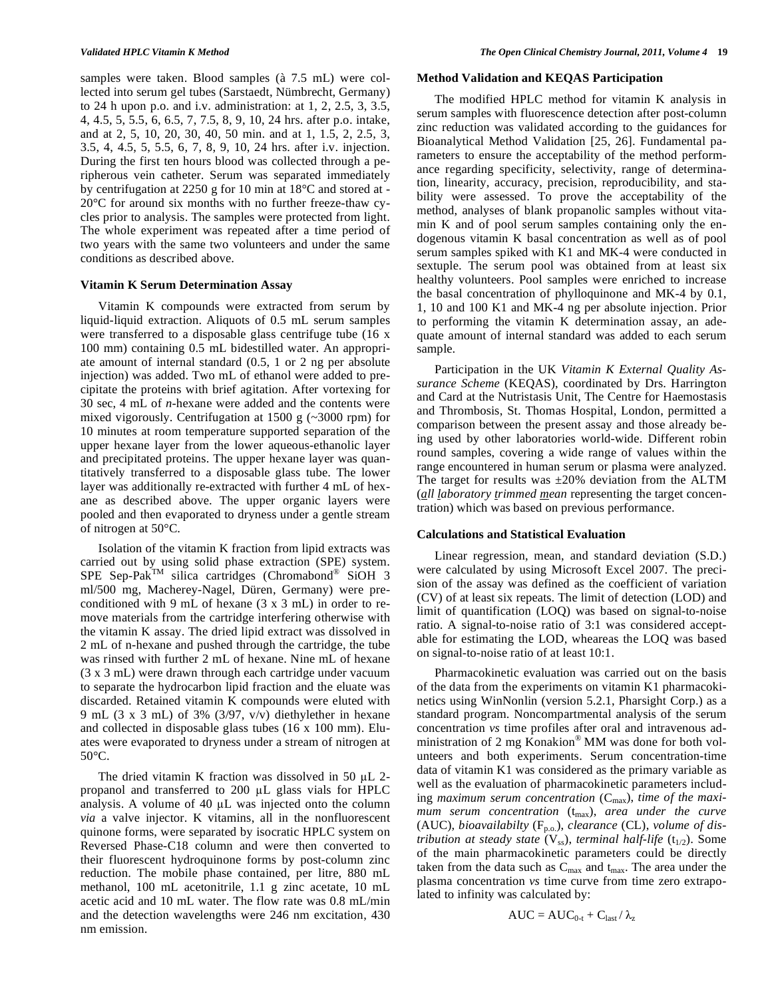samples were taken. Blood samples (à 7.5 mL) were collected into serum gel tubes (Sarstaedt, Nümbrecht, Germany) to 24 h upon p.o. and i.v. administration: at 1, 2, 2.5, 3, 3.5, 4, 4.5, 5, 5.5, 6, 6.5, 7, 7.5, 8, 9, 10, 24 hrs. after p.o. intake, and at 2, 5, 10, 20, 30, 40, 50 min. and at 1, 1.5, 2, 2.5, 3, 3.5, 4, 4.5, 5, 5.5, 6, 7, 8, 9, 10, 24 hrs. after i.v. injection. During the first ten hours blood was collected through a peripherous vein catheter. Serum was separated immediately by centrifugation at 2250 g for 10 min at 18°C and stored at - 20°C for around six months with no further freeze-thaw cycles prior to analysis. The samples were protected from light. The whole experiment was repeated after a time period of two years with the same two volunteers and under the same conditions as described above.

#### **Vitamin K Serum Determination Assay**

 Vitamin K compounds were extracted from serum by liquid-liquid extraction. Aliquots of 0.5 mL serum samples were transferred to a disposable glass centrifuge tube (16 x 100 mm) containing 0.5 mL bidestilled water. An appropriate amount of internal standard (0.5, 1 or 2 ng per absolute injection) was added. Two mL of ethanol were added to precipitate the proteins with brief agitation. After vortexing for 30 sec, 4 mL of *n*-hexane were added and the contents were mixed vigorously. Centrifugation at 1500 g (~3000 rpm) for 10 minutes at room temperature supported separation of the upper hexane layer from the lower aqueous-ethanolic layer and precipitated proteins. The upper hexane layer was quantitatively transferred to a disposable glass tube. The lower layer was additionally re-extracted with further 4 mL of hexane as described above. The upper organic layers were pooled and then evaporated to dryness under a gentle stream of nitrogen at 50°C.

 Isolation of the vitamin K fraction from lipid extracts was carried out by using solid phase extraction (SPE) system. SPE Sep-Pak<sup>TM</sup> silica cartridges (Chromabond® SiOH 3 ml/500 mg, Macherey-Nagel, Düren, Germany) were preconditioned with 9 mL of hexane (3 x 3 mL) in order to remove materials from the cartridge interfering otherwise with the vitamin K assay. The dried lipid extract was dissolved in 2 mL of n-hexane and pushed through the cartridge, the tube was rinsed with further 2 mL of hexane. Nine mL of hexane (3 x 3 mL) were drawn through each cartridge under vacuum to separate the hydrocarbon lipid fraction and the eluate was discarded. Retained vitamin K compounds were eluted with 9 mL (3 x 3 mL) of 3% (3/97, v/v) diethylether in hexane and collected in disposable glass tubes (16 x 100 mm). Eluates were evaporated to dryness under a stream of nitrogen at 50°C.

The dried vitamin K fraction was dissolved in 50  $\mu$ L 2propanol and transferred to  $200 \mu L$  glass vials for HPLC analysis. A volume of  $40 \mu L$  was injected onto the column *via* a valve injector. K vitamins, all in the nonfluorescent quinone forms, were separated by isocratic HPLC system on Reversed Phase-C18 column and were then converted to their fluorescent hydroquinone forms by post-column zinc reduction. The mobile phase contained, per litre, 880 mL methanol, 100 mL acetonitrile, 1.1 g zinc acetate, 10 mL acetic acid and 10 mL water. The flow rate was 0.8 mL/min and the detection wavelengths were 246 nm excitation, 430 nm emission.

#### **Method Validation and KEQAS Participation**

 The modified HPLC method for vitamin K analysis in serum samples with fluorescence detection after post-column zinc reduction was validated according to the guidances for Bioanalytical Method Validation [25, 26]. Fundamental parameters to ensure the acceptability of the method performance regarding specificity, selectivity, range of determination, linearity, accuracy, precision, reproducibility, and stability were assessed. To prove the acceptability of the method, analyses of blank propanolic samples without vitamin K and of pool serum samples containing only the endogenous vitamin K basal concentration as well as of pool serum samples spiked with K1 and MK-4 were conducted in sextuple. The serum pool was obtained from at least six healthy volunteers. Pool samples were enriched to increase the basal concentration of phylloquinone and MK-4 by 0.1, 1, 10 and 100 K1 and MK-4 ng per absolute injection. Prior to performing the vitamin K determination assay, an adequate amount of internal standard was added to each serum sample.

 Participation in the UK *Vitamin K External Quality Assurance Scheme* (KEQAS), coordinated by Drs. Harrington and Card at the Nutristasis Unit, The Centre for Haemostasis and Thrombosis, St. Thomas Hospital, London, permitted a comparison between the present assay and those already being used by other laboratories world-wide. Different robin round samples, covering a wide range of values within the range encountered in human serum or plasma were analyzed. The target for results was  $\pm 20\%$  deviation from the ALTM (*all laboratory trimmed mean* representing the target concentration) which was based on previous performance.

#### **Calculations and Statistical Evaluation**

 Linear regression, mean, and standard deviation (S.D.) were calculated by using Microsoft Excel 2007. The precision of the assay was defined as the coefficient of variation (CV) of at least six repeats. The limit of detection (LOD) and limit of quantification (LOQ) was based on signal-to-noise ratio. A signal-to-noise ratio of 3:1 was considered acceptable for estimating the LOD, wheareas the LOQ was based on signal-to-noise ratio of at least 10:1.

 Pharmacokinetic evaluation was carried out on the basis of the data from the experiments on vitamin K1 pharmacokinetics using WinNonlin (version 5.2.1, Pharsight Corp.) as a standard program. Noncompartmental analysis of the serum concentration *vs* time profiles after oral and intravenous administration of 2 mg Konakion® MM was done for both volunteers and both experiments. Serum concentration-time data of vitamin K1 was considered as the primary variable as well as the evaluation of pharmacokinetic parameters including *maximum serum concentration* (C<sub>max</sub>), *time of the maximum serum concentration* ( $t_{max}$ ), *area under the curve* (AUC), *bioavailabilty* (Fp.o.), *clearance* (CL), *volume of distribution at steady state*  $(V_{ss})$ *, terminal half-life*  $(t_{1/2})$ *.* Some of the main pharmacokinetic parameters could be directly taken from the data such as  $C_{\text{max}}$  and  $t_{\text{max}}$ . The area under the plasma concentration *vs* time curve from time zero extrapolated to infinity was calculated by:

$$
AUC = AUC_{0\text{-}t} + C_{last}/\,\lambda_z
$$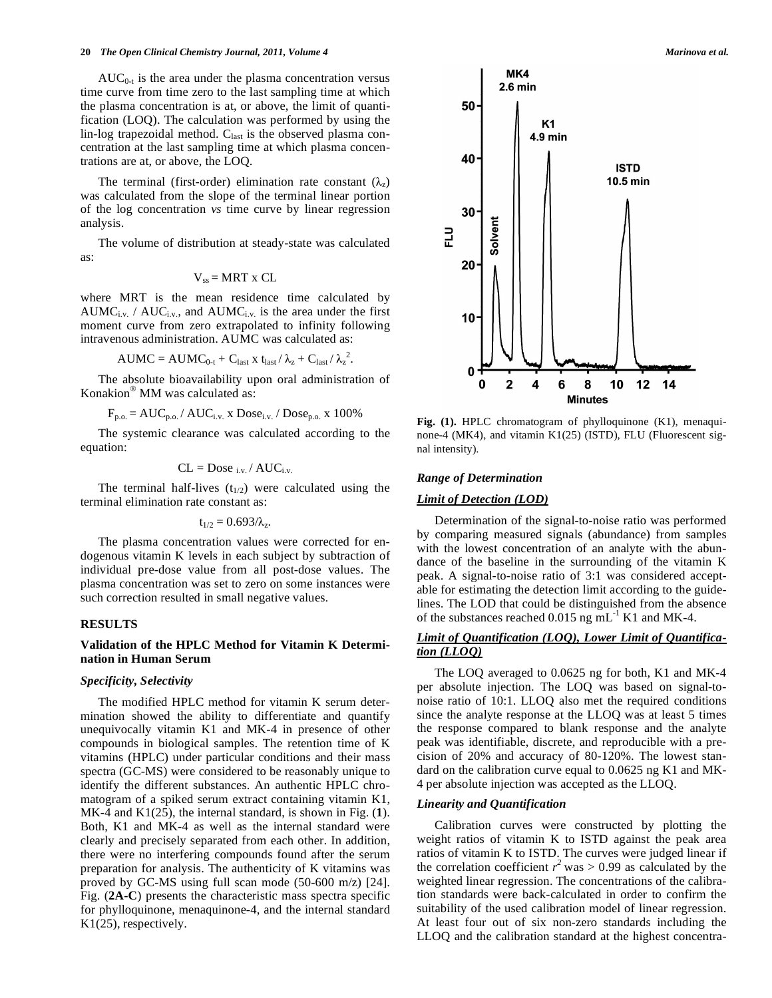$AUC_{0-t}$  is the area under the plasma concentration versus time curve from time zero to the last sampling time at which the plasma concentration is at, or above, the limit of quantification (LOQ). The calculation was performed by using the lin-log trapezoidal method. C<sub>last</sub> is the observed plasma concentration at the last sampling time at which plasma concentrations are at, or above, the LOQ.

The terminal (first-order) elimination rate constant  $(\lambda_z)$ was calculated from the slope of the terminal linear portion of the log concentration *vs* time curve by linear regression analysis.

 The volume of distribution at steady-state was calculated as:

$$
V_{ss} = MRT \times CL
$$

where MRT is the mean residence time calculated by  $AUMC_{i.v.}$  /  $AUC_{i.v.}$ , and  $AUMC_{i.v.}$  is the area under the first moment curve from zero extrapolated to infinity following intravenous administration. AUMC was calculated as:

$$
AUMC = AUMC_{0-t} + C_{last} x t_{last} / \lambda_{z} + C_{last} / \lambda_{z}^{2}.
$$

 The absolute bioavailability upon oral administration of Konakion® MM was calculated as:

 $F_{p.o.} = AUC_{p.o.} / AUC_{i.v.}$  x  $Dose_{i.v.} / Does_{p.o.}$  x 100%

 The systemic clearance was calculated according to the equation:

$$
CL = Does_{i.v.} / AUC_{i.v.}
$$

The terminal half-lives  $(t_{1/2})$  were calculated using the terminal elimination rate constant as:

$$
t_{1/2}=0.693/\lambda_z.
$$

 The plasma concentration values were corrected for endogenous vitamin K levels in each subject by subtraction of individual pre-dose value from all post-dose values. The plasma concentration was set to zero on some instances were such correction resulted in small negative values.

## **RESULTS**

## **Validation of the HPLC Method for Vitamin K Determination in Human Serum**

#### *Specificity, Selectivity*

 The modified HPLC method for vitamin K serum determination showed the ability to differentiate and quantify unequivocally vitamin K1 and MK-4 in presence of other compounds in biological samples. The retention time of K vitamins (HPLC) under particular conditions and their mass spectra (GC-MS) were considered to be reasonably unique to identify the different substances. An authentic HPLC chromatogram of a spiked serum extract containing vitamin K1, MK-4 and K1(25), the internal standard, is shown in Fig. (**1**). Both, K1 and MK-4 as well as the internal standard were clearly and precisely separated from each other. In addition, there were no interfering compounds found after the serum preparation for analysis. The authenticity of K vitamins was proved by GC-MS using full scan mode (50-600 m/z) [24]. Fig. (**2A-C**) presents the characteristic mass spectra specific for phylloquinone, menaquinone-4, and the internal standard K1(25), respectively.



**Fig. (1).** HPLC chromatogram of phylloquinone (K1), menaquinone-4 (MK4), and vitamin K1(25) (ISTD), FLU (Fluorescent signal intensity).

#### *Range of Determination*

## *Limit of Detection (LOD)*

 Determination of the signal-to-noise ratio was performed by comparing measured signals (abundance) from samples with the lowest concentration of an analyte with the abundance of the baseline in the surrounding of the vitamin K peak. A signal-to-noise ratio of 3:1 was considered acceptable for estimating the detection limit according to the guidelines. The LOD that could be distinguished from the absence of the substances reached  $0.015$  ng mL<sup>-1</sup> K1 and MK-4.

# *Limit of Quantification (LOQ), Lower Limit of Quantification (LLOQ)*

 The LOQ averaged to 0.0625 ng for both, K1 and MK-4 per absolute injection. The LOQ was based on signal-tonoise ratio of 10:1. LLOQ also met the required conditions since the analyte response at the LLOQ was at least 5 times the response compared to blank response and the analyte peak was identifiable, discrete, and reproducible with a precision of 20% and accuracy of 80-120%. The lowest standard on the calibration curve equal to 0.0625 ng K1 and MK-4 per absolute injection was accepted as the LLOQ.

## *Linearity and Quantification*

 Calibration curves were constructed by plotting the weight ratios of vitamin K to ISTD against the peak area ratios of vitamin K to ISTD. The curves were judged linear if the correlation coefficient  $r^2$  was  $> 0.99$  as calculated by the weighted linear regression. The concentrations of the calibration standards were back-calculated in order to confirm the suitability of the used calibration model of linear regression. At least four out of six non-zero standards including the LLOQ and the calibration standard at the highest concentra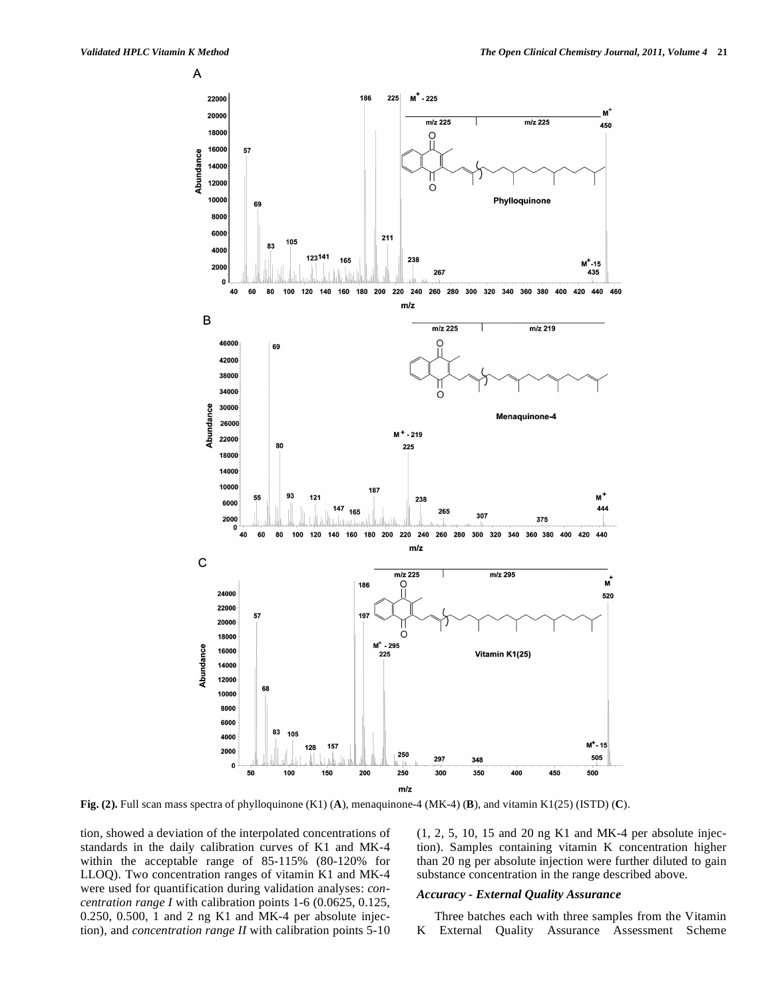A



**Fig. (2).** Full scan mass spectra of phylloquinone (K1) (**A**), menaquinone-4 (MK-4) (**B**), and vitamin K1(25) (ISTD) (**C**).

tion, showed a deviation of the interpolated concentrations of standards in the daily calibration curves of K1 and MK-4 within the acceptable range of 85-115% (80-120% for LLOQ). Two concentration ranges of vitamin K1 and MK-4 were used for quantification during validation analyses: *concentration range I* with calibration points 1-6 (0.0625, 0.125, 0.250, 0.500, 1 and 2 ng K1 and MK-4 per absolute injection), and *concentration range II* with calibration points 5-10 (1, 2, 5, 10, 15 and 20 ng K1 and MK-4 per absolute injection). Samples containing vitamin K concentration higher than 20 ng per absolute injection were further diluted to gain substance concentration in the range described above.

## *Accuracy - External Quality Assurance*

 Three batches each with three samples from the Vitamin K External Quality Assurance Assessment Scheme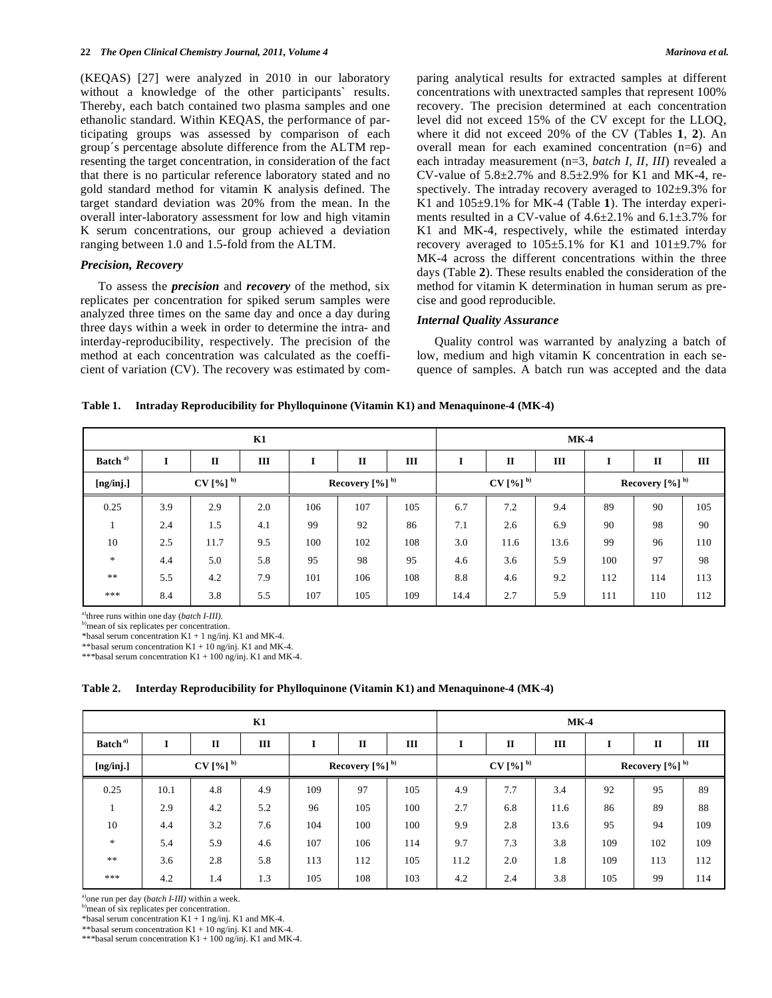(KEQAS) [27] were analyzed in 2010 in our laboratory without a knowledge of the other participants' results. Thereby, each batch contained two plasma samples and one ethanolic standard. Within KEQAS, the performance of participating groups was assessed by comparison of each group´s percentage absolute difference from the ALTM representing the target concentration, in consideration of the fact that there is no particular reference laboratory stated and no gold standard method for vitamin K analysis defined. The target standard deviation was 20% from the mean. In the overall inter-laboratory assessment for low and high vitamin K serum concentrations, our group achieved a deviation ranging between 1.0 and 1.5-fold from the ALTM.

#### *Precision, Recovery*

 To assess the *precision* and *recovery* of the method, six replicates per concentration for spiked serum samples were analyzed three times on the same day and once a day during three days within a week in order to determine the intra- and interday-reproducibility, respectively. The precision of the method at each concentration was calculated as the coefficient of variation (CV). The recovery was estimated by comparing analytical results for extracted samples at different concentrations with unextracted samples that represent 100% recovery. The precision determined at each concentration level did not exceed 15% of the CV except for the LLOQ, where it did not exceed 20% of the CV (Tables **1**, **2**). An overall mean for each examined concentration (n=6) and each intraday measurement (n=3, *batch I, II, III*) revealed a CV-value of  $5.8 \pm 2.7\%$  and  $8.5 \pm 2.9\%$  for K1 and MK-4, respectively. The intraday recovery averaged to  $102\pm9.3\%$  for K1 and 105±9.1% for MK-4 (Table **1**). The interday experiments resulted in a CV-value of  $4.6\pm2.1\%$  and  $6.1\pm3.7\%$  for K1 and MK-4, respectively, while the estimated interday recovery averaged to  $105\pm5.1\%$  for K1 and  $101\pm9.7\%$  for MK-4 across the different concentrations within the three days (Table **2**). These results enabled the consideration of the method for vitamin K determination in human serum as precise and good reproducible.

## *Internal Quality Assurance*

 Quality control was warranted by analyzing a batch of low, medium and high vitamin K concentration in each sequence of samples. A batch run was accepted and the data

| Intraday Reproducibility for Phylloquinone (Vitamin K1) and Menaquinone-4 (MK-4)<br>Table 1. |  |  |
|----------------------------------------------------------------------------------------------|--|--|
|----------------------------------------------------------------------------------------------|--|--|

| K1                                |                                              |              |     |     |              |     |      |                 | $MK-4$ |     |              |     |
|-----------------------------------|----------------------------------------------|--------------|-----|-----|--------------|-----|------|-----------------|--------|-----|--------------|-----|
| Batch <sup>a)</sup>               |                                              | $\mathbf{I}$ | III |     | $\mathbf{I}$ | Ш   |      | $\mathbf{I}$    | Ш      |     | $\mathbf{I}$ | Ш   |
| [ng/inj.]                         | $CV[%]^{b)}$<br>Recovery $[%]$ <sup>b)</sup> |              |     |     | $CV[%]^{b)}$ |     |      | Recovery [%] b) |        |     |              |     |
| 0.25                              | 3.9                                          | 2.9          | 2.0 | 106 | 107          | 105 | 6.7  | 7.2             | 9.4    | 89  | 90           | 105 |
|                                   | 2.4                                          | 1.5          | 4.1 | 99  | 92           | 86  | 7.1  | 2.6             | 6.9    | 90  | 98           | 90  |
| 10                                | 2.5                                          | 11.7         | 9.5 | 100 | 102          | 108 | 3.0  | 11.6            | 13.6   | 99  | 96           | 110 |
| $\frac{d\mathbf{x}}{d\mathbf{x}}$ | 4.4                                          | 5.0          | 5.8 | 95  | 98           | 95  | 4.6  | 3.6             | 5.9    | 100 | 97           | 98  |
| $\ast$ $\ast$                     | 5.5                                          | 4.2          | 7.9 | 101 | 106          | 108 | 8.8  | 4.6             | 9.2    | 112 | 114          | 113 |
| ***                               | 8.4                                          | 3.8          | 5.5 | 107 | 105          | 109 | 14.4 | 2.7             | 5.9    | 111 | 110          | 112 |

<sup>a)</sup>three runs within one day (*batch I-III*).<br><sup>b)</sup>mean of six replicates per concentration.

\*basal serum concentration  $K1 + 1$  ng/inj. K1 and MK-4.

\*\*basal serum concentration  $K1 + 10$  ng/inj. K1 and MK-4

\*\*\*basal serum concentration K1 + 100 ng/inj. K1 and MK-4.

#### **Table 2. Interday Reproducibility for Phylloquinone (Vitamin K1) and Menaquinone-4 (MK-4)**

| K1                  |                                 |              |     |     |              |              | $MK-4$ |                 |      |     |              |     |
|---------------------|---------------------------------|--------------|-----|-----|--------------|--------------|--------|-----------------|------|-----|--------------|-----|
| Batch <sup>a)</sup> | I                               | $\mathbf{I}$ | III |     | $\mathbf{I}$ | III          |        | $\mathbf{I}$    | III  | л   | $\mathbf{I}$ | Ш   |
| [ng/inj.]           | $CV[%]^{b)}$<br>Recovery [%] b) |              |     |     |              | $CV[%]^{b)}$ |        | Recovery [%] b) |      |     |              |     |
| 0.25                | 10.1                            | 4.8          | 4.9 | 109 | 97           | 105          | 4.9    | 7.7             | 3.4  | 92  | 95           | 89  |
| л.                  | 2.9                             | 4.2          | 5.2 | 96  | 105          | 100          | 2.7    | 6.8             | 11.6 | 86  | 89           | 88  |
| 10                  | 4.4                             | 3.2          | 7.6 | 104 | 100          | 100          | 9.9    | 2.8             | 13.6 | 95  | 94           | 109 |
| $\ast$              | 5.4                             | 5.9          | 4.6 | 107 | 106          | 114          | 9.7    | 7.3             | 3.8  | 109 | 102          | 109 |
| $\ast$ $\ast$       | 3.6                             | 2.8          | 5.8 | 113 | 112          | 105          | 11.2   | 2.0             | 1.8  | 109 | 113          | 112 |
| ***                 | 4.2                             | 1.4          | 1.3 | 105 | 108          | 103          | 4.2    | 2.4             | 3.8  | 105 | 99           | 114 |

a)one run per day (*batch I-III)* within a week.

b)mean of six replicates per concentration.

\*basal serum concentration  $K1 + 1$  ng/inj. K1 and MK-4.

\*\*basal serum concentration K1 + 10 ng/inj. K1 and MK-4.

\*\*\*basal serum concentration K1 + 100 ng/inj. K1 and MK-4.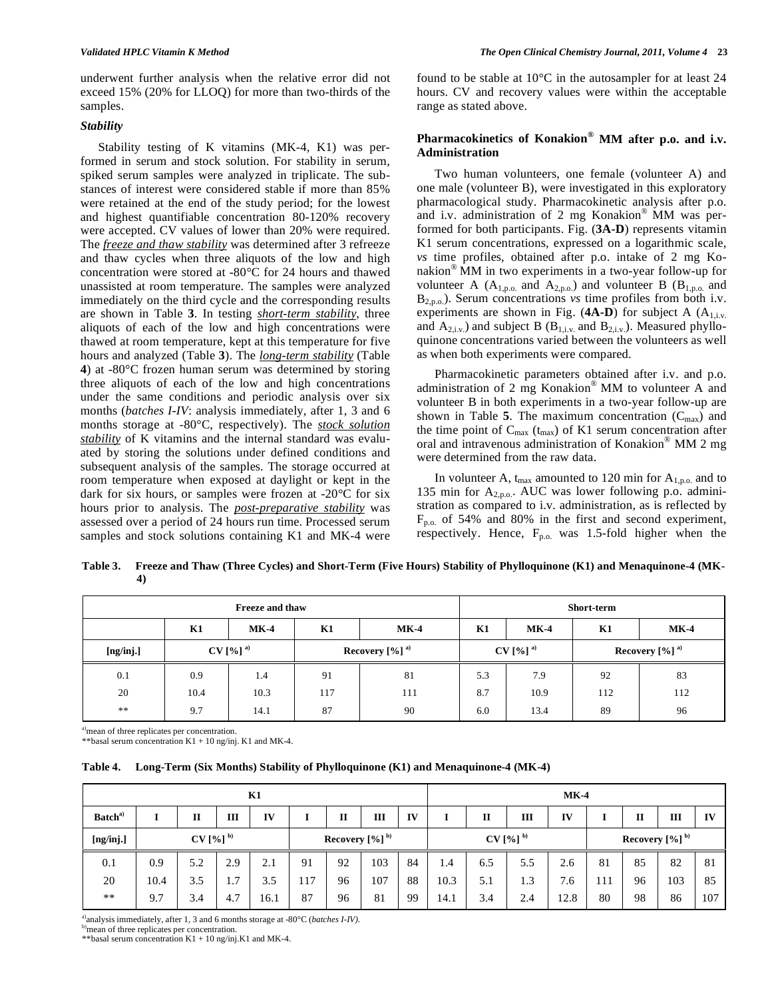underwent further analysis when the relative error did not exceed 15% (20% for LLOQ) for more than two-thirds of the samples.

## *Stability*

 Stability testing of K vitamins (MK-4, K1) was performed in serum and stock solution. For stability in serum, spiked serum samples were analyzed in triplicate. The substances of interest were considered stable if more than 85% were retained at the end of the study period; for the lowest and highest quantifiable concentration 80-120% recovery were accepted. CV values of lower than 20% were required. The *freeze and thaw stability* was determined after 3 refreeze and thaw cycles when three aliquots of the low and high concentration were stored at -80°C for 24 hours and thawed unassisted at room temperature. The samples were analyzed immediately on the third cycle and the corresponding results are shown in Table **3**. In testing *short-term stability*, three aliquots of each of the low and high concentrations were thawed at room temperature, kept at this temperature for five hours and analyzed (Table **3**). The *long-term stability* (Table **4**) at -80°C frozen human serum was determined by storing three aliquots of each of the low and high concentrations under the same conditions and periodic analysis over six months (*batches I-IV*: analysis immediately, after 1, 3 and 6 months storage at -80°C, respectively). The *stock solution stability* of K vitamins and the internal standard was evaluated by storing the solutions under defined conditions and subsequent analysis of the samples. The storage occurred at room temperature when exposed at daylight or kept in the dark for six hours, or samples were frozen at -20°C for six hours prior to analysis. The *post-preparative stability* was assessed over a period of 24 hours run time. Processed serum samples and stock solutions containing K1 and MK-4 were found to be stable at 10°C in the autosampler for at least 24 hours. CV and recovery values were within the acceptable range as stated above.

# **Pharmacokinetics of Konakion® MM after p.o. and i.v. Administration**

 Two human volunteers, one female (volunteer A) and one male (volunteer B), were investigated in this exploratory pharmacological study. Pharmacokinetic analysis after p.o. and i.v. administration of 2 mg Konakion® MM was performed for both participants. Fig. (**3A-D**) represents vitamin K1 serum concentrations, expressed on a logarithmic scale, *vs* time profiles, obtained after p.o. intake of 2 mg Konakion® MM in two experiments in a two-year follow-up for volunteer A  $(A_{1,p.o.}$  and  $A_{2,p.o.}$ ) and volunteer B  $(B_{1,p.o.}$  and B<sub>2,p.o.</sub>). Serum concentrations *vs* time profiles from both i.v. experiments are shown in Fig.  $(4A-D)$  for subject A  $(A_{1,i,v.})$ and  $A_{2,i,v}$ ) and subject B ( $B_{1,i,v}$  and  $B_{2,i,v}$ ). Measured phylloquinone concentrations varied between the volunteers as well as when both experiments were compared.

 Pharmacokinetic parameters obtained after i.v. and p.o. administration of 2 mg Konakion® MM to volunteer A and volunteer B in both experiments in a two-year follow-up are shown in Table 5. The maximum concentration  $(C_{\text{max}})$  and the time point of  $C_{\text{max}}$  ( $t_{\text{max}}$ ) of K1 serum concentration after oral and intravenous administration of Konakion® MM 2 mg were determined from the raw data.

In volunteer A,  $t_{\text{max}}$  amounted to 120 min for  $A_{1,p.o.}$  and to 135 min for  $A_{2,p.o.}$ . AUC was lower following p.o. administration as compared to i.v. administration, as is reflected by  $F_{p.o.}$  of 54% and 80% in the first and second experiment, respectively. Hence,  $F_{p.o.}$  was 1.5-fold higher when the

**Table 3. Freeze and Thaw (Three Cycles) and Short-Term (Five Hours) Stability of Phylloquinone (K1) and Menaquinone-4 (MK-4)** 

|            |      | <b>Freeze and thaw</b> | Short-term |                              |     |                       |                              |        |  |
|------------|------|------------------------|------------|------------------------------|-----|-----------------------|------------------------------|--------|--|
|            | K1   | $MK-4$                 | K1         | $MK-4$                       | K1  | $MK-4$                | K1                           | $MK-4$ |  |
| [ng/inj.]  |      | $CV[%]$ <sup>a)</sup>  |            | Recovery $[%]$ <sup>a)</sup> |     | $CV[%]$ <sup>a)</sup> | Recovery $[%]$ <sup>a)</sup> |        |  |
| 0.1        | 0.9  | 1.4                    | 91         | 81                           | 5.3 | 7.9                   | 92                           | 83     |  |
| 20         | 10.4 | 10.3                   | 117        | 111                          | 8.7 | 10.9                  | 112                          | 112    |  |
| $\ast\ast$ | 9.7  | 14.1                   | 87         | 90                           | 6.0 | 13.4                  | 89                           | 96     |  |

<sup>a)</sup>mean of three replicates per concentration.

\*\*basal serum concentration K1 + 10 ng/inj. K1 and MK-4.

| Table 4. |  | Long-Term (Six Months) Stability of Phylloquinone (K1) and Menaquinone-4 (MK-4) |  |
|----------|--|---------------------------------------------------------------------------------|--|
|          |  |                                                                                 |  |

| K1                  |      |              |     |      |                 |             |     |              |      | $MK-4$ |     |                 |     |             |     |     |
|---------------------|------|--------------|-----|------|-----------------|-------------|-----|--------------|------|--------|-----|-----------------|-----|-------------|-----|-----|
| Batch <sup>a)</sup> |      | п            | Ш   | IV   |                 | $\mathbf H$ | Ш   | IV           |      | п      | Ш   | IV              |     | $\mathbf H$ | Ш   | IV  |
| [ng/inj.]           |      | $CV[%]^{b)}$ |     |      | Recovery [%] b) |             |     | $CV[%]^{b)}$ |      |        |     | Recovery [%] b) |     |             |     |     |
| 0.1                 | 0.9  | 5.2          | 2.9 | 2.1  | 91              | 92          | 103 | 84           | 1.4  | 6.5    | 5.5 | 2.6             | 81  | 85          | 82  | 81  |
| 20                  | 10.4 | 3.5          | 1.7 | 3.5  | 117             | 96          | 107 | 88           | 10.3 | 5.1    | 1.3 | 7.6             | 111 | 96          | 103 | 85  |
| $**$                | 9.7  | 3.4          | 4.7 | 16.1 | 87              | 96          | 81  | 99           | 14.1 | 3.4    | 2.4 | 12.8            | 80  | 98          | 86  | 107 |

<sup>a)</sup>analysis immediately, after 1, 3 and 6 months storage at -80°C (*batches I-IV*). <sup>b</sup>)mean of three replicates per concentration.

\*\*basal serum concentration  $K1 + 10$  ng/inj.K1 and MK-4.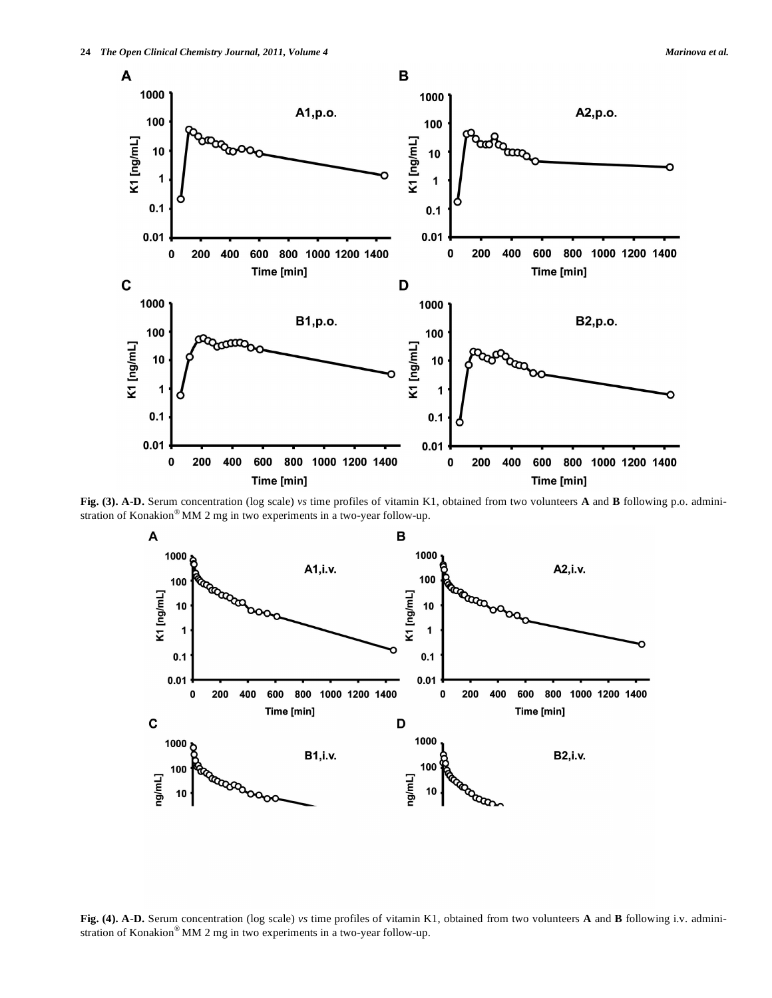

**Fig. (3). A-D.** Serum concentration (log scale) *vs* time profiles of vitamin K1, obtained from two volunteers **A** and **B** following p.o. administration of Konakion® MM 2 mg in two experiments in a two-year follow-up.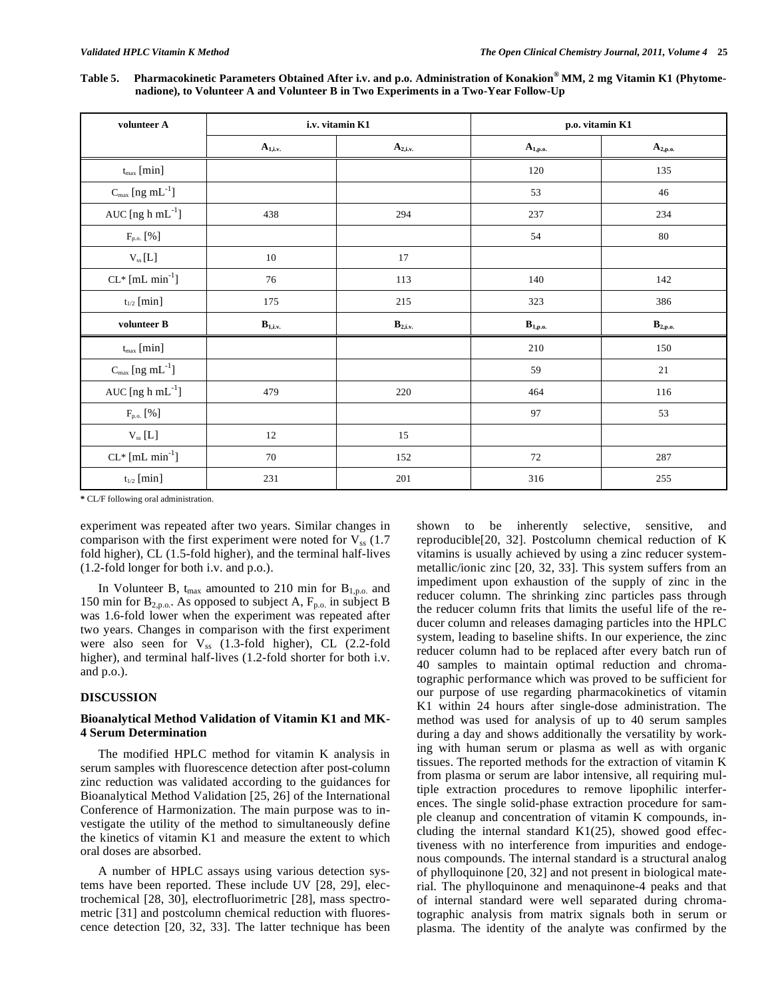**Table 5. Pharmacokinetic Parameters Obtained After i.v. and p.o. Administration of Konakion® MM, 2 mg Vitamin K1 (Phytomenadione), to Volunteer A and Volunteer B in Two Experiments in a Two-Year Follow-Up** 

| volunteer A                             |                       | i.v. vitamin K1       | p.o. vitamin K1              |                                |
|-----------------------------------------|-----------------------|-----------------------|------------------------------|--------------------------------|
|                                         | $A_{1,i.v.}$          | $A_{2,i.v.}$          | $A_{1,p.o.}$                 | $A_{2,p.o.}$                   |
| $t_{max}$ [min]                         |                       |                       | 120                          | 135                            |
| $C_{\text{max}}$ [ng mL <sup>-1</sup> ] |                       |                       | 53                           | 46                             |
| AUC [ng $h$ mL $^{-1}$ ]                | 438                   | 294                   | 237                          | 234                            |
| $F_{\text{p.o.}}\left[\%\right]$        |                       |                       | 54                           | 80                             |
| $\rm V_{ss}\left[ L\right]$             | 10                    | 17                    |                              |                                |
| $CL*$ [mL min <sup>-1</sup> ]           | 76                    | 113                   | 140                          | 142                            |
| $t_{1/2}$ [min]                         | 175                   | 215                   | 323                          | 386                            |
| volunteer B                             | $\mathbf{B}_{1,i.v.}$ | $\mathbf{B}_{2,i.v.}$ | $\mathbf{B}_{1,\text{p.o.}}$ | $\mathbf{B}_{2,\mathbf{p.o.}}$ |
| $t_{max}$ [min]                         |                       |                       | 210                          | 150                            |
| $C_{\text{max}}$ [ng mL <sup>-1</sup> ] |                       |                       | 59                           | 21                             |
| AUC [ng $h$ mL $^{-1}$ ]                | 479                   | 220                   | 464                          | 116                            |
| $F_{p.o.}$ [%]                          |                       |                       | 97                           | 53                             |
| $\rm V_{ss}\left[L\right]$              | 12                    | 15                    |                              |                                |
| $CL*$ [mL min <sup>-1</sup> ]           | 70                    | 152                   | 72                           | 287                            |
| $t_{1/2}$ [min]                         | 231                   | 201                   | 316                          | 255                            |

**\*** CL/F following oral administration.

experiment was repeated after two years. Similar changes in comparison with the first experiment were noted for  $V_{ss}$  (1.7) fold higher), CL (1.5-fold higher), and the terminal half-lives (1.2-fold longer for both i.v. and p.o.).

In Volunteer B,  $t_{\text{max}}$  amounted to 210 min for  $B_{1,p.o.}$  and 150 min for  $B_{2,p.o.}$ . As opposed to subject A,  $F_{p.o.}$  in subject B was 1.6-fold lower when the experiment was repeated after two years. Changes in comparison with the first experiment were also seen for  $V_{ss}$  (1.3-fold higher), CL (2.2-fold higher), and terminal half-lives (1.2-fold shorter for both i.v. and p.o.).

#### **DISCUSSION**

## **Bioanalytical Method Validation of Vitamin K1 and MK-4 Serum Determination**

 The modified HPLC method for vitamin K analysis in serum samples with fluorescence detection after post-column zinc reduction was validated according to the guidances for Bioanalytical Method Validation [25, 26] of the International Conference of Harmonization. The main purpose was to investigate the utility of the method to simultaneously define the kinetics of vitamin K1 and measure the extent to which oral doses are absorbed.

 A number of HPLC assays using various detection systems have been reported. These include UV [28, 29], electrochemical [28, 30], electrofluorimetric [28], mass spectrometric [31] and postcolumn chemical reduction with fluorescence detection [20, 32, 33]. The latter technique has been shown to be inherently selective, sensitive, and reproducible[20, 32]. Postcolumn chemical reduction of K vitamins is usually achieved by using a zinc reducer systemmetallic/ionic zinc [20, 32, 33]. This system suffers from an impediment upon exhaustion of the supply of zinc in the reducer column. The shrinking zinc particles pass through the reducer column frits that limits the useful life of the reducer column and releases damaging particles into the HPLC system, leading to baseline shifts. In our experience, the zinc reducer column had to be replaced after every batch run of 40 samples to maintain optimal reduction and chromatographic performance which was proved to be sufficient for our purpose of use regarding pharmacokinetics of vitamin K1 within 24 hours after single-dose administration. The method was used for analysis of up to 40 serum samples during a day and shows additionally the versatility by working with human serum or plasma as well as with organic tissues. The reported methods for the extraction of vitamin K from plasma or serum are labor intensive, all requiring multiple extraction procedures to remove lipophilic interferences. The single solid-phase extraction procedure for sample cleanup and concentration of vitamin K compounds, including the internal standard  $K1(25)$ , showed good effectiveness with no interference from impurities and endogenous compounds. The internal standard is a structural analog of phylloquinone [20, 32] and not present in biological material. The phylloquinone and menaquinone-4 peaks and that of internal standard were well separated during chromatographic analysis from matrix signals both in serum or plasma. The identity of the analyte was confirmed by the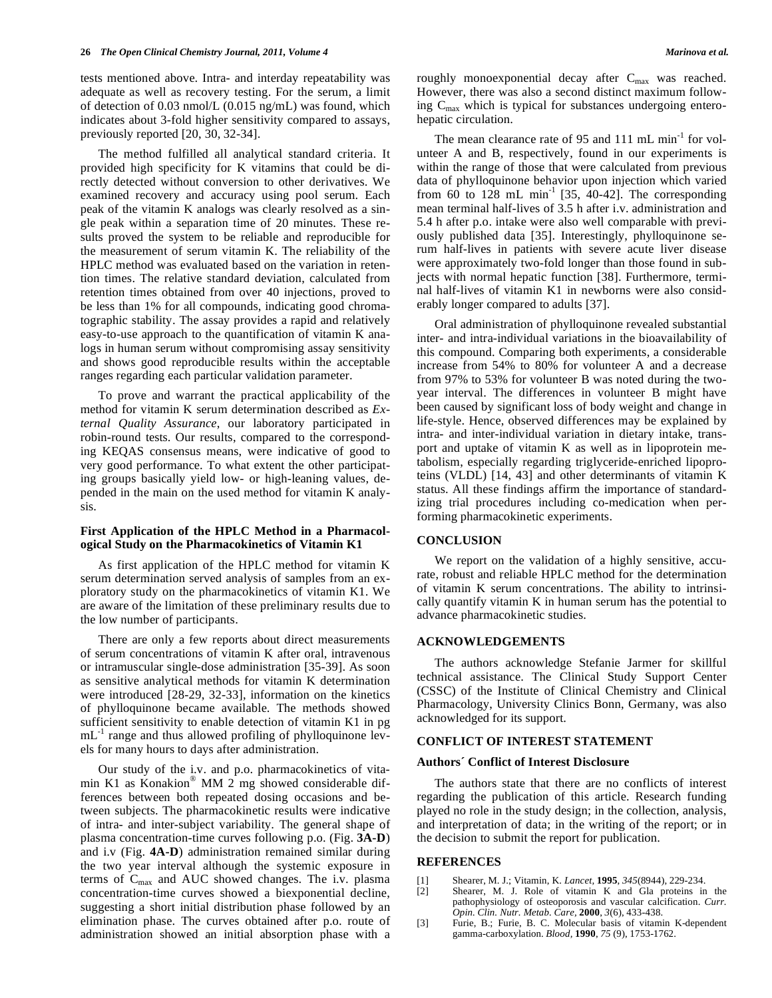tests mentioned above. Intra- and interday repeatability was adequate as well as recovery testing. For the serum, a limit of detection of 0.03 nmol/L (0.015 ng/mL) was found, which indicates about 3-fold higher sensitivity compared to assays, previously reported [20, 30, 32-34].

 The method fulfilled all analytical standard criteria. It provided high specificity for K vitamins that could be directly detected without conversion to other derivatives. We examined recovery and accuracy using pool serum. Each peak of the vitamin K analogs was clearly resolved as a single peak within a separation time of 20 minutes. These results proved the system to be reliable and reproducible for the measurement of serum vitamin K. The reliability of the HPLC method was evaluated based on the variation in retention times. The relative standard deviation, calculated from retention times obtained from over 40 injections, proved to be less than 1% for all compounds, indicating good chromatographic stability. The assay provides a rapid and relatively easy-to-use approach to the quantification of vitamin K analogs in human serum without compromising assay sensitivity and shows good reproducible results within the acceptable ranges regarding each particular validation parameter.

 To prove and warrant the practical applicability of the method for vitamin K serum determination described as *External Quality Assurance*, our laboratory participated in robin-round tests. Our results, compared to the corresponding KEQAS consensus means, were indicative of good to very good performance. To what extent the other participating groups basically yield low- or high-leaning values, depended in the main on the used method for vitamin K analysis.

#### **First Application of the HPLC Method in a Pharmacological Study on the Pharmacokinetics of Vitamin K1**

 As first application of the HPLC method for vitamin K serum determination served analysis of samples from an exploratory study on the pharmacokinetics of vitamin K1. We are aware of the limitation of these preliminary results due to the low number of participants.

 There are only a few reports about direct measurements of serum concentrations of vitamin K after oral, intravenous or intramuscular single-dose administration [35-39]. As soon as sensitive analytical methods for vitamin K determination were introduced [28-29, 32-33], information on the kinetics of phylloquinone became available. The methods showed sufficient sensitivity to enable detection of vitamin K1 in pg  $mL^{-1}$  range and thus allowed profiling of phylloquinone levels for many hours to days after administration.

 Our study of the i.v. and p.o. pharmacokinetics of vitamin K1 as Konakion® MM 2 mg showed considerable differences between both repeated dosing occasions and between subjects. The pharmacokinetic results were indicative of intra- and inter-subject variability. The general shape of plasma concentration-time curves following p.o. (Fig. **3A-D**) and i.v (Fig. **4A-D**) administration remained similar during the two year interval although the systemic exposure in terms of Cmax and AUC showed changes. The i.v. plasma concentration-time curves showed a biexponential decline, suggesting a short initial distribution phase followed by an elimination phase. The curves obtained after p.o. route of administration showed an initial absorption phase with a roughly monoexponential decay after  $C_{\text{max}}$  was reached. However, there was also a second distinct maximum following  $C_{\text{max}}$  which is typical for substances undergoing enterohepatic circulation.

The mean clearance rate of 95 and 111 mL min<sup>-1</sup> for volunteer A and B, respectively, found in our experiments is within the range of those that were calculated from previous data of phylloquinone behavior upon injection which varied from 60 to 128 mL min<sup>-1</sup> [35, 40-42]. The corresponding mean terminal half-lives of 3.5 h after i.v. administration and 5.4 h after p.o. intake were also well comparable with previously published data [35]. Interestingly, phylloquinone serum half-lives in patients with severe acute liver disease were approximately two-fold longer than those found in subjects with normal hepatic function [38]. Furthermore, terminal half-lives of vitamin K1 in newborns were also considerably longer compared to adults [37].

 Oral administration of phylloquinone revealed substantial inter- and intra-individual variations in the bioavailability of this compound. Comparing both experiments, a considerable increase from 54% to 80% for volunteer A and a decrease from 97% to 53% for volunteer B was noted during the twoyear interval. The differences in volunteer B might have been caused by significant loss of body weight and change in life-style. Hence, observed differences may be explained by intra- and inter-individual variation in dietary intake, transport and uptake of vitamin K as well as in lipoprotein metabolism, especially regarding triglyceride-enriched lipoproteins (VLDL) [14, 43] and other determinants of vitamin K status. All these findings affirm the importance of standardizing trial procedures including co-medication when performing pharmacokinetic experiments.

## **CONCLUSION**

 We report on the validation of a highly sensitive, accurate, robust and reliable HPLC method for the determination of vitamin K serum concentrations. The ability to intrinsically quantify vitamin K in human serum has the potential to advance pharmacokinetic studies.

#### **ACKNOWLEDGEMENTS**

 The authors acknowledge Stefanie Jarmer for skillful technical assistance. The Clinical Study Support Center (CSSC) of the Institute of Clinical Chemistry and Clinical Pharmacology, University Clinics Bonn, Germany, was also acknowledged for its support.

## **CONFLICT OF INTEREST STATEMENT**

#### **Authors´ Conflict of Interest Disclosure**

 The authors state that there are no conflicts of interest regarding the publication of this article. Research funding played no role in the study design; in the collection, analysis, and interpretation of data; in the writing of the report; or in the decision to submit the report for publication.

#### **REFERENCES**

- [1] Shearer, M. J.; Vitamin, K. *Lancet,* **1995**, *345*(8944), 229-234.
- Shearer, M. J. Role of vitamin K and Gla proteins in the pathophysiology of osteoporosis and vascular calcification. *Curr. Opin. Clin. Nutr. Metab. Care,* **2000**, *3*(6), 433-438.
- [3] Furie, B.; Furie, B. C. Molecular basis of vitamin K-dependent gamma-carboxylation. *Blood,* **1990**, *75* (9), 1753-1762.